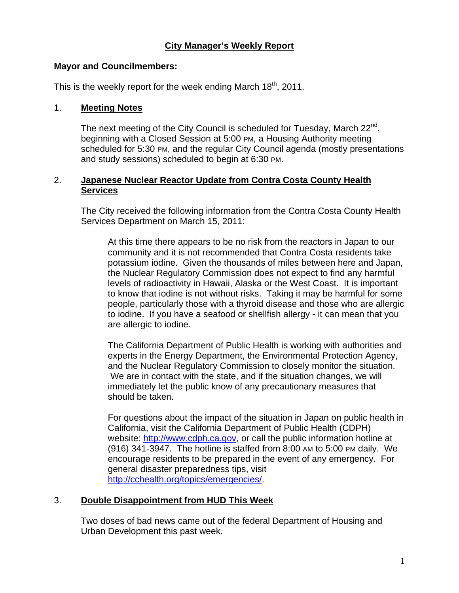### **City Manager's Weekly Report**

#### **Mayor and Councilmembers:**

This is the weekly report for the week ending March  $18<sup>th</sup>$ , 2011.

#### 1. **Meeting Notes**

The next meeting of the City Council is scheduled for Tuesday, March  $22^{nd}$ . beginning with a Closed Session at 5:00 PM, a Housing Authority meeting scheduled for 5:30 PM, and the regular City Council agenda (mostly presentations and study sessions) scheduled to begin at 6:30 PM.

#### 2. **Japanese Nuclear Reactor Update from Contra Costa County Health Services**

The City received the following information from the Contra Costa County Health Services Department on March 15, 2011:

At this time there appears to be no risk from the reactors in Japan to our community and it is not recommended that Contra Costa residents take potassium iodine. Given the thousands of miles between here and Japan, the Nuclear Regulatory Commission does not expect to find any harmful levels of radioactivity in Hawaii, Alaska or the West Coast. It is important to know that iodine is not without risks. Taking it may be harmful for some people, particularly those with a thyroid disease and those who are allergic to iodine. If you have a seafood or shellfish allergy - it can mean that you are allergic to iodine.

The California Department of Public Health is working with authorities and experts in the Energy Department, the Environmental Protection Agency, and the Nuclear Regulatory Commission to closely monitor the situation. We are in contact with the state, and if the situation changes, we will immediately let the public know of any precautionary measures that should be taken.

For questions about the impact of the situation in Japan on public health in California, visit the California Department of Public Health (CDPH) website: http://www.cdph.ca.gov, or call the public information hotline at (916) 341-3947. The hotline is staffed from 8:00 AM to 5:00 PM daily. We encourage residents to be prepared in the event of any emergency. For general disaster preparedness tips, visit http://cchealth.org/topics/emergencies/.

### 3. **Double Disappointment from HUD This Week**

Two doses of bad news came out of the federal Department of Housing and Urban Development this past week.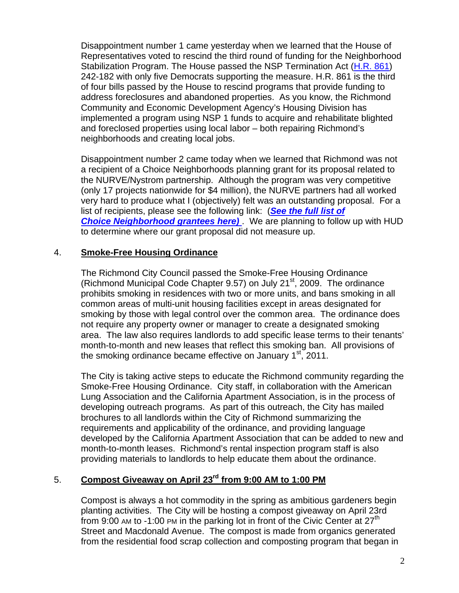Disappointment number 1 came yesterday when we learned that the House of Representatives voted to rescind the third round of funding for the Neighborhood Stabilization Program. The House passed the NSP Termination Act (H.R. 861) 242-182 with only five Democrats supporting the measure. H.R. 861 is the third of four bills passed by the House to rescind programs that provide funding to address foreclosures and abandoned properties. As you know, the Richmond Community and Economic Development Agency's Housing Division has implemented a program using NSP 1 funds to acquire and rehabilitate blighted and foreclosed properties using local labor – both repairing Richmond's neighborhoods and creating local jobs.

Disappointment number 2 came today when we learned that Richmond was not a recipient of a Choice Neighborhoods planning grant for its proposal related to the NURVE/Nystrom partnership. Although the program was very competitive (only 17 projects nationwide for \$4 million), the NURVE partners had all worked very hard to produce what I (objectively) felt was an outstanding proposal. For a list of recipients, please see the following link: (*See the full list of Choice Neighborhood grantees here)* . We are planning to follow up with HUD to determine where our grant proposal did not measure up.

## 4. **Smoke-Free Housing Ordinance**

The Richmond City Council passed the Smoke-Free Housing Ordinance (Richmond Municipal Code Chapter 9.57) on July  $21<sup>st</sup>$ , 2009. The ordinance prohibits smoking in residences with two or more units, and bans smoking in all common areas of multi-unit housing facilities except in areas designated for smoking by those with legal control over the common area. The ordinance does not require any property owner or manager to create a designated smoking area. The law also requires landlords to add specific lease terms to their tenants' month-to-month and new leases that reflect this smoking ban. All provisions of the smoking ordinance became effective on January 1<sup>st</sup>, 2011.

The City is taking active steps to educate the Richmond community regarding the Smoke-Free Housing Ordinance. City staff, in collaboration with the American Lung Association and the California Apartment Association, is in the process of developing outreach programs. As part of this outreach, the City has mailed brochures to all landlords within the City of Richmond summarizing the requirements and applicability of the ordinance, and providing language developed by the California Apartment Association that can be added to new and month-to-month leases. Richmond's rental inspection program staff is also providing materials to landlords to help educate them about the ordinance.

# 5. **Compost Giveaway on April 23rd from 9:00 AM to 1:00 PM**

Compost is always a hot commodity in the spring as ambitious gardeners begin planting activities. The City will be hosting a compost giveaway on April 23rd from 9:00 AM to -1:00 PM in the parking lot in front of the Civic Center at  $27<sup>th</sup>$ Street and Macdonald Avenue. The compost is made from organics generated from the residential food scrap collection and composting program that began in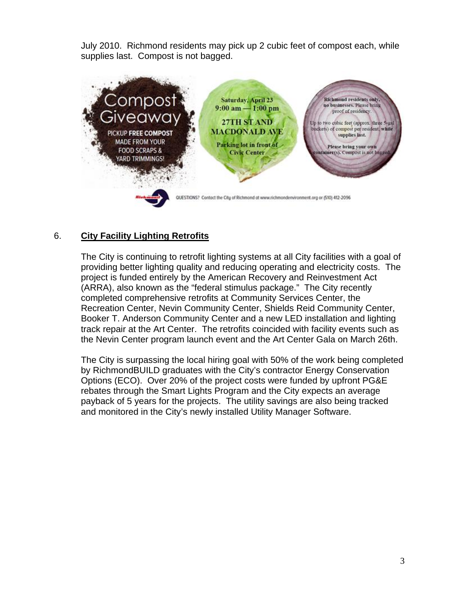July 2010. Richmond residents may pick up 2 cubic feet of compost each, while supplies last. Compost is not bagged.



# 6. **City Facility Lighting Retrofits**

The City is continuing to retrofit lighting systems at all City facilities with a goal of providing better lighting quality and reducing operating and electricity costs. The project is funded entirely by the American Recovery and Reinvestment Act (ARRA), also known as the "federal stimulus package." The City recently completed comprehensive retrofits at Community Services Center, the Recreation Center, Nevin Community Center, Shields Reid Community Center, Booker T. Anderson Community Center and a new LED installation and lighting track repair at the Art Center. The retrofits coincided with facility events such as the Nevin Center program launch event and the Art Center Gala on March 26th.

The City is surpassing the local hiring goal with 50% of the work being completed by RichmondBUILD graduates with the City's contractor Energy Conservation Options (ECO). Over 20% of the project costs were funded by upfront PG&E rebates through the Smart Lights Program and the City expects an average payback of 5 years for the projects. The utility savings are also being tracked and monitored in the City's newly installed Utility Manager Software.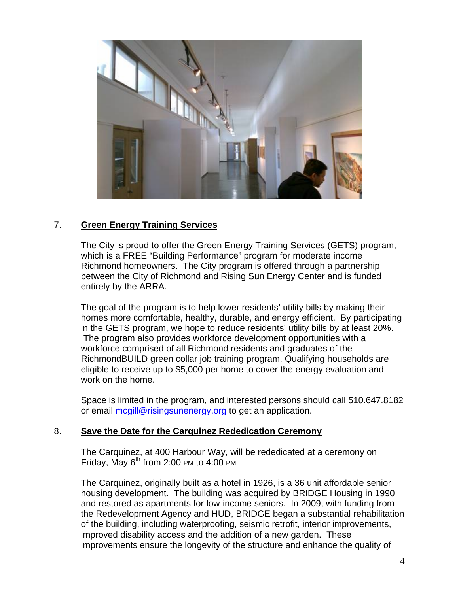

### 7. **Green Energy Training Services**

The City is proud to offer the Green Energy Training Services (GETS) program, which is a FREE "Building Performance" program for moderate income Richmond homeowners. The City program is offered through a partnership between the City of Richmond and Rising Sun Energy Center and is funded entirely by the ARRA.

The goal of the program is to help lower residents' utility bills by making their homes more comfortable, healthy, durable, and energy efficient. By participating in the GETS program, we hope to reduce residents' utility bills by at least 20%. The program also provides workforce development opportunities with a workforce comprised of all Richmond residents and graduates of the RichmondBUILD green collar job training program. Qualifying households are eligible to receive up to \$5,000 per home to cover the energy evaluation and work on the home.

Space is limited in the program, and interested persons should call 510.647.8182 or email mcgill@risingsunenergy.org to get an application.

### 8. **Save the Date for the Carquinez Rededication Ceremony**

The Carquinez, at 400 Harbour Way, will be rededicated at a ceremony on Friday, May  $6^{th}$  from 2:00 PM to 4:00 PM.

The Carquinez, originally built as a hotel in 1926, is a 36 unit affordable senior housing development. The building was acquired by BRIDGE Housing in 1990 and restored as apartments for low-income seniors. In 2009, with funding from the Redevelopment Agency and HUD, BRIDGE began a substantial rehabilitation of the building, including waterproofing, seismic retrofit, interior improvements, improved disability access and the addition of a new garden. These improvements ensure the longevity of the structure and enhance the quality of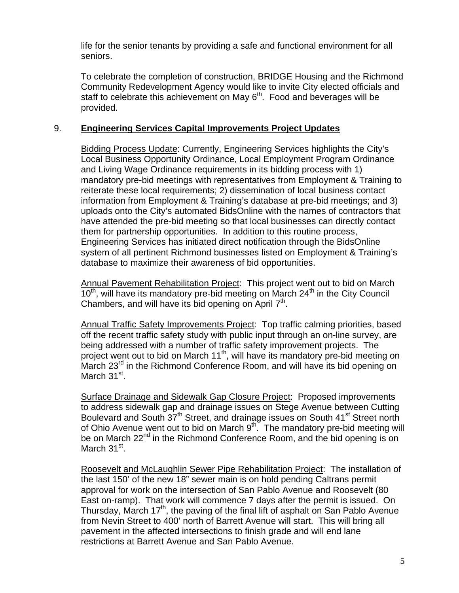life for the senior tenants by providing a safe and functional environment for all seniors.

To celebrate the completion of construction, BRIDGE Housing and the Richmond Community Redevelopment Agency would like to invite City elected officials and staff to celebrate this achievement on May  $6<sup>th</sup>$ . Food and beverages will be provided.

### 9. **Engineering Services Capital Improvements Project Updates**

Bidding Process Update: Currently, Engineering Services highlights the City's Local Business Opportunity Ordinance, Local Employment Program Ordinance and Living Wage Ordinance requirements in its bidding process with 1) mandatory pre-bid meetings with representatives from Employment & Training to reiterate these local requirements; 2) dissemination of local business contact information from Employment & Training's database at pre-bid meetings; and 3) uploads onto the City's automated BidsOnline with the names of contractors that have attended the pre-bid meeting so that local businesses can directly contact them for partnership opportunities. In addition to this routine process, Engineering Services has initiated direct notification through the BidsOnline system of all pertinent Richmond businesses listed on Employment & Training's database to maximize their awareness of bid opportunities.

Annual Pavement Rehabilitation Project: This project went out to bid on March  $10<sup>th</sup>$ , will have its mandatory pre-bid meeting on March  $24<sup>th</sup>$  in the City Council Chambers, and will have its bid opening on April  $7<sup>th</sup>$ .

Annual Traffic Safety Improvements Project: Top traffic calming priorities, based off the recent traffic safety study with public input through an on-line survey, are being addressed with a number of traffic safety improvement projects. The project went out to bid on March 11<sup>th</sup>, will have its mandatory pre-bid meeting on March 23<sup>rd</sup> in the Richmond Conference Room, and will have its bid opening on March 31<sup>st</sup>.

Surface Drainage and Sidewalk Gap Closure Project: Proposed improvements to address sidewalk gap and drainage issues on Stege Avenue between Cutting Boulevard and South 37<sup>th</sup> Street, and drainage issues on South 41<sup>st</sup> Street north of Ohio Avenue went out to bid on March  $9<sup>th</sup>$ . The mandatory pre-bid meeting will be on March 22<sup>nd</sup> in the Richmond Conference Room, and the bid opening is on March  $31<sup>st</sup>$ .

Roosevelt and McLaughlin Sewer Pipe Rehabilitation Project: The installation of the last 150' of the new 18" sewer main is on hold pending Caltrans permit approval for work on the intersection of San Pablo Avenue and Roosevelt (80 East on-ramp). That work will commence 7 days after the permit is issued. On Thursday, March 17<sup>th</sup>, the paving of the final lift of asphalt on San Pablo Avenue from Nevin Street to 400' north of Barrett Avenue will start. This will bring all pavement in the affected intersections to finish grade and will end lane restrictions at Barrett Avenue and San Pablo Avenue.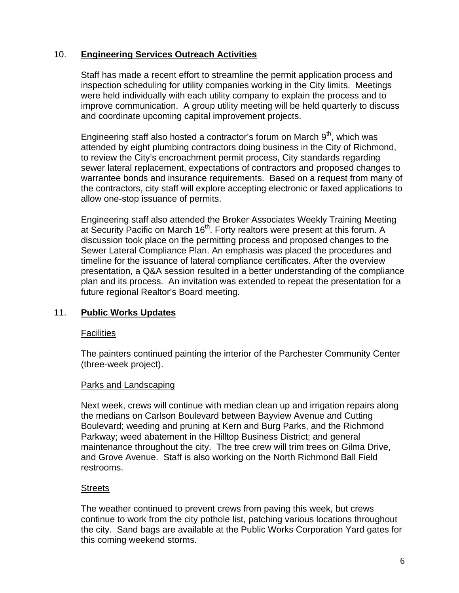## 10. **Engineering Services Outreach Activities**

Staff has made a recent effort to streamline the permit application process and inspection scheduling for utility companies working in the City limits. Meetings were held individually with each utility company to explain the process and to improve communication. A group utility meeting will be held quarterly to discuss and coordinate upcoming capital improvement projects.

Engineering staff also hosted a contractor's forum on March  $9<sup>th</sup>$ , which was attended by eight plumbing contractors doing business in the City of Richmond, to review the City's encroachment permit process, City standards regarding sewer lateral replacement, expectations of contractors and proposed changes to warrantee bonds and insurance requirements. Based on a request from many of the contractors, city staff will explore accepting electronic or faxed applications to allow one-stop issuance of permits.

Engineering staff also attended the Broker Associates Weekly Training Meeting at Security Pacific on March 16<sup>th</sup>. Forty realtors were present at this forum. A discussion took place on the permitting process and proposed changes to the Sewer Lateral Compliance Plan. An emphasis was placed the procedures and timeline for the issuance of lateral compliance certificates. After the overview presentation, a Q&A session resulted in a better understanding of the compliance plan and its process. An invitation was extended to repeat the presentation for a future regional Realtor's Board meeting.

### 11. **Public Works Updates**

### **Facilities**

The painters continued painting the interior of the Parchester Community Center (three-week project).

### Parks and Landscaping

Next week, crews will continue with median clean up and irrigation repairs along the medians on Carlson Boulevard between Bayview Avenue and Cutting Boulevard; weeding and pruning at Kern and Burg Parks, and the Richmond Parkway; weed abatement in the Hilltop Business District; and general maintenance throughout the city. The tree crew will trim trees on Gilma Drive, and Grove Avenue. Staff is also working on the North Richmond Ball Field restrooms.

### **Streets**

The weather continued to prevent crews from paving this week, but crews continue to work from the city pothole list, patching various locations throughout the city. Sand bags are available at the Public Works Corporation Yard gates for this coming weekend storms.